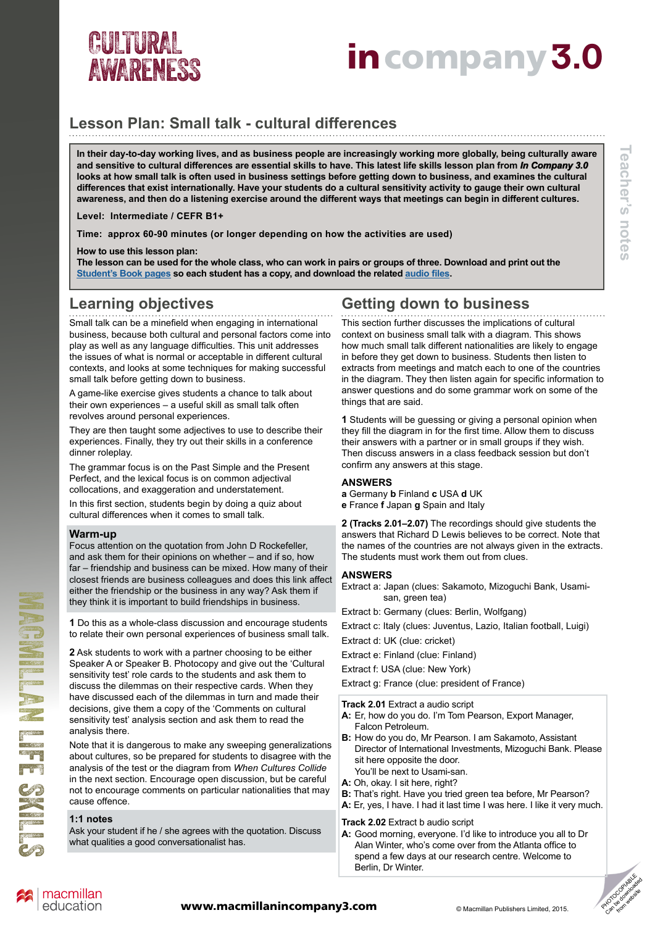# AWARENESS

# CULTURAL<br>AWADENERRENT **incompany 3.0**

### **Lesson Plan: Small talk - cultural differences**

**In their day-to-day working lives, and as business people are increasingly working more globally, being culturally aware and sensitive to cultural differences are essential skills to have. This latest life skills lesson plan from** *In Company 3.0* **looks at how small talk is often used in business settings before getting down to business, and examines the cultural differences that exist internationally. Have your students do a cultural sensitivity activity to gauge their own cultural awareness, and then do a listening exercise around the different ways that meetings can begin in different cultures.**

**Level: Intermediate / CEFR B1+**

**Time: approx 60-90 minutes (or longer depending on how the activities are used)**

**How to use this lesson plan:**

**The lesson can be used for the whole class, who can work in pairs or groups of three. Download and print out the [Student's Book pages](http://www.macmillanenglish.com/life-skills/cultural-awareness/#incompany3) so each student has a copy, and download the related [audio files](http://www.macmillanenglish.com/life-skills/cultural-awareness/#incompany3).**

### **Learning objectives**

Small talk can be a minefield when engaging in international business, because both cultural and personal factors come into play as well as any language difficulties. This unit addresses the issues of what is normal or acceptable in different cultural contexts, and looks at some techniques for making successful small talk before getting down to business.

A game-like exercise gives students a chance to talk about their own experiences – a useful skill as small talk often revolves around personal experiences.

They are then taught some adjectives to use to describe their experiences. Finally, they try out their skills in a conference dinner roleplay.

The grammar focus is on the Past Simple and the Present Perfect, and the lexical focus is on common adjectival collocations, and exaggeration and understatement.

In this first section, students begin by doing a quiz about cultural differences when it comes to small talk.

#### **Warm-up**

Focus attention on the quotation from John D Rockefeller, and ask them for their opinions on whether – and if so, how far – friendship and business can be mixed. How many of their closest friends are business colleagues and does this link affect either the friendship or the business in any way? Ask them if they think it is important to build friendships in business.

**1** Do this as a whole-class discussion and encourage students to relate their own personal experiences of business small talk.

**2** Ask students to work with a partner choosing to be either Speaker A or Speaker B. Photocopy and give out the 'Cultural sensitivity test' role cards to the students and ask them to discuss the dilemmas on their respective cards. When they have discussed each of the dilemmas in turn and made their decisions, give them a copy of the 'Comments on cultural sensitivity test' analysis section and ask them to read the analysis there.

Note that it is dangerous to make any sweeping generalizations about cultures, so be prepared for students to disagree with the analysis of the test or the diagram from *When Cultures Collide* in the next section. Encourage open discussion, but be careful not to encourage comments on particular nationalities that may cause offence.

#### **1:1 notes**

Ask your student if he / she agrees with the quotation. Discuss what qualities a good conversationalist has.

### **Getting down to business**

This section further discusses the implications of cultural context on business small talk with a diagram. This shows how much small talk different nationalities are likely to engage in before they get down to business. Students then listen to extracts from meetings and match each to one of the countries in the diagram. They then listen again for specific information to answer questions and do some grammar work on some of the things that are said.

**1** Students will be guessing or giving a personal opinion when they fill the diagram in for the first time. Allow them to discuss their answers with a partner or in small groups if they wish. Then discuss answers in a class feedback session but don't confirm any answers at this stage.

#### **ANSWERS**

- **a** Germany **b** Finland **c** USA **d** UK
- **e** France **f** Japan **g** Spain and Italy

**2 (Tracks 2.01–2.07)** The recordings should give students the answers that Richard D Lewis believes to be correct. Note that the names of the countries are not always given in the extracts. The students must work them out from clues.

#### **ANSWERS**

Extract a: Japan (clues: Sakamoto, Mizoguchi Bank, Usami san, green tea)

Extract b: Germany (clues: Berlin, Wolfgang)

Extract c: Italy (clues: Juventus, Lazio, Italian football, Luigi)

Extract d: UK (clue: cricket)

Extract e: Finland (clue: Finland)

Extract f: USA (clue: New York)

Extract g: France (clue: president of France)

**Track 2.01** Extract a audio script

- **A:** Er, how do you do. I'm Tom Pearson, Export Manager, Falcon Petroleum.
- **B:** How do you do, Mr Pearson. I am Sakamoto, Assistant Director of International Investments, Mizoguchi Bank. Please sit here opposite the door.
- You'll be next to Usami-san.
- **A:** Oh, okay. I sit here, right?
- **B:** That's right. Have you tried green tea before, Mr Pearson? **A:** Er, yes, I have. I had it last time I was here. I like it very much.

#### **Track 2.02** Extract b audio script

**A:** Good morning, everyone. I'd like to introduce you all to Dr Alan Winter, who's come over from the Atlanta office to spend a few days at our research centre. Welcome to Berlin, Dr Winter.



**Teacher's notes**

Teacher's notes



MACHES SKILLS

NG SHIP NG SKES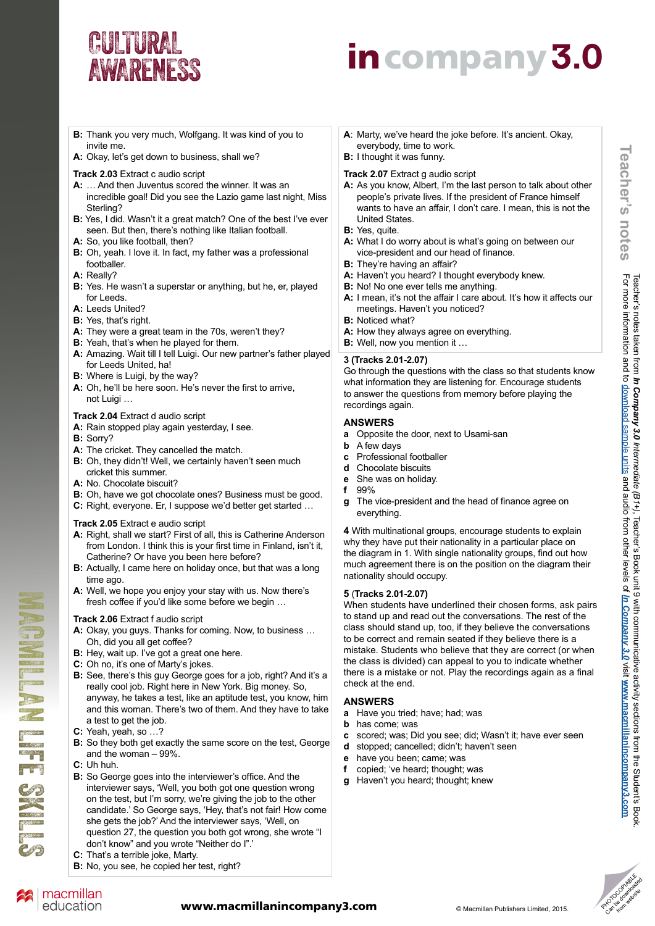# **AWARENESS**

# CULTURAL<br>AWADENERRENT **incompany 3.0**

- **B:** Thank you very much, Wolfgang. It was kind of you to invite me.
- **A:** Okay, let's get down to business, shall we?

#### **Track 2.03** Extract c audio script

- **A:** … And then Juventus scored the winner. It was an incredible goal! Did you see the Lazio game last night, Miss Sterling?
- **B:** Yes, I did. Wasn't it a great match? One of the best I've ever seen. But then, there's nothing like Italian football.
- **A:** So, you like football, then?
- **B:** Oh, yeah. I love it. In fact, my father was a professional footballer.
- **A:** Really?
- **B:** Yes. He wasn't a superstar or anything, but he, er, played for Leeds.
- **A:** Leeds United?
- **B:** Yes, that's right.
- **A:** They were a great team in the 70s, weren't they?
- **B:** Yeah, that's when he played for them.
- **A:** Amazing. Wait till I tell Luigi. Our new partner's father played for Leeds United, ha!
- **B:** Where is Luigi, by the way?
- **A:** Oh, he'll be here soon. He's never the first to arrive, not Luigi …

#### **Track 2.04** Extract d audio script

- **A:** Rain stopped play again yesterday, I see.
- **B:** Sorry?
- **A:** The cricket. They cancelled the match.
- **B:** Oh, they didn't! Well, we certainly haven't seen much cricket this summer.
- **A:** No. Chocolate biscuit?
- **B:** Oh, have we got chocolate ones? Business must be good.
- **C:** Right, everyone. Er, I suppose we'd better get started …

#### **Track 2.05** Extract e audio script

- **A:** Right, shall we start? First of all, this is Catherine Anderson from London. I think this is your first time in Finland, isn't it, Catherine? Or have you been here before?
- **B:** Actually, I came here on holiday once, but that was a long time ago.
- **A:** Well, we hope you enjoy your stay with us. Now there's fresh coffee if you'd like some before we begin …

#### **Track 2.06** Extract f audio script

- **A:** Okay, you guys. Thanks for coming. Now, to business … Oh, did you all get coffee?
- **B:** Hey, wait up. I've got a great one here.
- **C:** Oh no, it's one of Marty's jokes.
- **B:** See, there's this guy George goes for a job, right? And it's a really cool job. Right here in New York. Big money. So, anyway, he takes a test, like an aptitude test, you know, him and this woman. There's two of them. And they have to take a test to get the job.
- **C:** Yeah, yeah, so …?
- **B:** So they both get exactly the same score on the test, George and the woman – 99%.
- **C:** Uh huh.
- **B:** So George goes into the interviewer's office. And the interviewer says, 'Well, you both got one question wrong on the test, but I'm sorry, we're giving the job to the other candidate.' So George says, 'Hey, that's not fair! How come she gets the job?' And the interviewer says, 'Well, on question 27, the question you both got wrong, she wrote "I don't know" and you wrote "Neither do I".'
- **C:** That's a terrible joke, Marty.
- **B:** No, you see, he copied her test, right?
- **A**: Marty, we've heard the joke before. It's ancient. Okay, everybody, time to work.
- **B:** I thought it was funny.

#### **Track 2.07** Extract g audio script

- **A:** As you know, Albert, I'm the last person to talk about other people's private lives. If the president of France himself wants to have an affair, I don't care. I mean, this is not the United States.
- **B:** Yes, quite.
- **A:** What I do worry about is what's going on between our vice-president and our head of finance.
- **B:** They're having an affair?
- **A:** Haven't you heard? I thought everybody knew.
- **B:** No! No one ever tells me anything.
- **A:** I mean, it's not the affair I care about. It's how it affects our meetings. Haven't you noticed?
- **B:** Noticed what?
- **A:** How they always agree on everything.
- **B:** Well, now you mention it …

#### **3 (Tracks 2.01-2.07)**

Go through the questions with the class so that students know what information they are listening for. Encourage students to answer the questions from memory before playing the recordings again.

#### **ANSWERS**

- **a** Opposite the door, next to Usami-san
- **b** A few days
- **c** Professional footballer
- **d** Chocolate biscuits
- **e** She was on holiday.
- **f** 99%
- **g** The vice-president and the head of finance agree on everything.

**4** With multinational groups, encourage students to explain why they have put their nationality in a particular place on the diagram in 1. With single nationality groups, find out how much agreement there is on the position on the diagram their nationality should occupy.

#### **5** (**Tracks 2.01-2.07)**

When students have underlined their chosen forms, ask pairs to stand up and read out the conversations. The rest of the class should stand up, too, if they believe the conversations to be correct and remain seated if they believe there is a mistake. Students who believe that they are correct (or when the class is divided) can appeal to you to indicate whether there is a mistake or not. Play the recordings again as a final check at the end.

#### **ANSWERS**

- **a** Have you tried; have; had; was
- **b** has come; was
- **c** scored; was; Did you see; did; Wasn't it; have ever seen
- **d** stopped; cancelled; didn't; haven't seen
- **e** have you been; came; was
- **f** copied; 've heard; thought; was
- Haven't you heard; thought; knew

## PHOTOGRApias Can de downloaded



MACHES SKILLS

MORE LE CONST